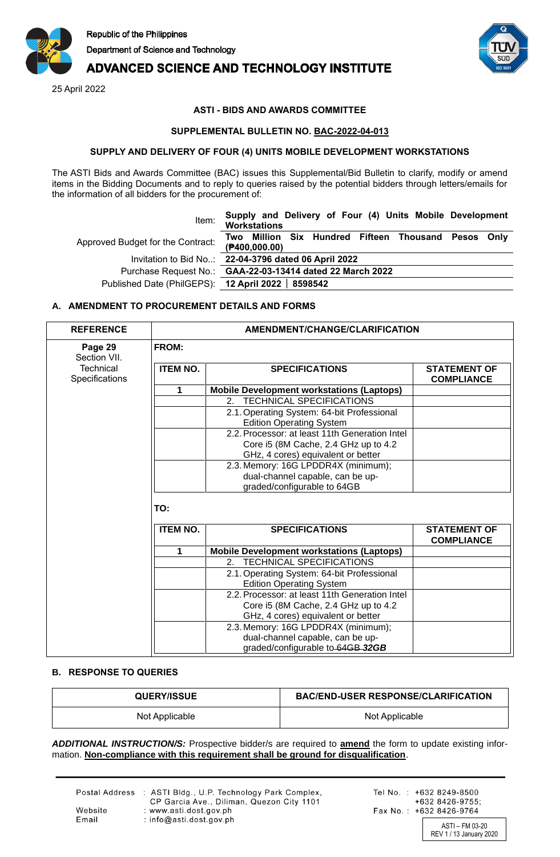

# **ADVANCED SCIENCE AND TECHNOLOGY INSTITUTE**

25 April 2022



# **ASTI - BIDS AND AWARDS COMMITTEE**

## **SUPPLEMENTAL BULLETIN NO. BAC-2022-04-013**

#### **SUPPLY AND DELIVERY OF FOUR (4) UNITS MOBILE DEVELOPMENT WORKSTATIONS**

The ASTI Bids and Awards Committee (BAC) issues this Supplemental/Bid Bulletin to clarify, modify or amend items in the Bidding Documents and to reply to queries raised by the potential bidders through letters/emails for the information of all bidders for the procurement of:

| Item:                                              | Supply and Delivery of Four (4) Units Mobile Development<br>Workstations |
|----------------------------------------------------|--------------------------------------------------------------------------|
| Approved Budget for the Contract:                  | Two Million Six Hundred Fifteen Thousand Pesos Only<br>$($ P400,000.00)  |
|                                                    | Invitation to Bid No: 22-04-3796 dated 06 April 2022                     |
|                                                    | Purchase Request No.: GAA-22-03-13414 dated 22 March 2022                |
| Published Date (PhilGEPS): 12 April 2022   8598542 |                                                                          |

## **A. AMENDMENT TO PROCUREMENT DETAILS AND FORMS**

| <b>REFERENCE</b>                   | AMENDMENT/CHANGE/CLARIFICATION<br><b>FROM:</b> |                                                                            |                                          |  |
|------------------------------------|------------------------------------------------|----------------------------------------------------------------------------|------------------------------------------|--|
| Page 29<br>Section VII.            |                                                |                                                                            |                                          |  |
| <b>Technical</b><br>Specifications | <b>ITEM NO.</b>                                | <b>SPECIFICATIONS</b>                                                      | <b>STATEMENT OF</b><br><b>COMPLIANCE</b> |  |
|                                    | 1                                              | <b>Mobile Development workstations (Laptops)</b>                           |                                          |  |
|                                    |                                                | 2. TECHNICAL SPECIFICATIONS                                                |                                          |  |
|                                    |                                                | 2.1. Operating System: 64-bit Professional                                 |                                          |  |
|                                    |                                                | <b>Edition Operating System</b>                                            |                                          |  |
|                                    |                                                | 2.2. Processor: at least 11th Generation Intel                             |                                          |  |
|                                    |                                                | Core i5 (8M Cache, 2.4 GHz up to 4.2                                       |                                          |  |
|                                    |                                                | GHz, 4 cores) equivalent or better                                         |                                          |  |
|                                    |                                                | 2.3. Memory: 16G LPDDR4X (minimum);                                        |                                          |  |
|                                    |                                                | dual-channel capable, can be up-                                           |                                          |  |
|                                    |                                                | graded/configurable to 64GB                                                |                                          |  |
|                                    | TO:<br><b>ITEM NO.</b>                         | <b>SPECIFICATIONS</b>                                                      | <b>STATEMENT OF</b><br><b>COMPLIANCE</b> |  |
|                                    | 1.                                             | <b>Mobile Development workstations (Laptops)</b>                           |                                          |  |
|                                    |                                                | 2. TECHNICAL SPECIFICATIONS                                                |                                          |  |
|                                    |                                                | 2.1. Operating System: 64-bit Professional                                 |                                          |  |
|                                    |                                                | <b>Edition Operating System</b>                                            |                                          |  |
|                                    |                                                | 2.2. Processor: at least 11th Generation Intel                             |                                          |  |
|                                    |                                                |                                                                            |                                          |  |
|                                    |                                                |                                                                            |                                          |  |
|                                    |                                                | Core i5 (8M Cache, 2.4 GHz up to 4.2<br>GHz, 4 cores) equivalent or better |                                          |  |
|                                    |                                                | 2.3. Memory: 16G LPDDR4X (minimum);                                        |                                          |  |

# **B. RESPONSE TO QUERIES**

| <b>QUERY/ISSUE</b> | <b>BAC/END-USER RESPONSE/CLARIFICATION</b> |
|--------------------|--------------------------------------------|
| Not Applicable     | Not Applicable                             |

graded/configurable to 64GB *32GB*

*ADDITIONAL INSTRUCTION/S:* Prospective bidder/s are required to **amend** the form to update existing information. **Non-compliance with this requirement shall be ground for disqualification**.

|                  | Postal Address : ASTI Bldg., U.P. Technology Park Complex,<br>CP Garcia Ave., Diliman, Quezon City 1101 | Tel |
|------------------|---------------------------------------------------------------------------------------------------------|-----|
| Website<br>Email | : www.asti.dost.gov.ph<br>: $info@asti.dost.gov.ph$                                                     | Fax |

No.: +632 8249-8500 +632 8426-9755; x No.: +632 8426-9764